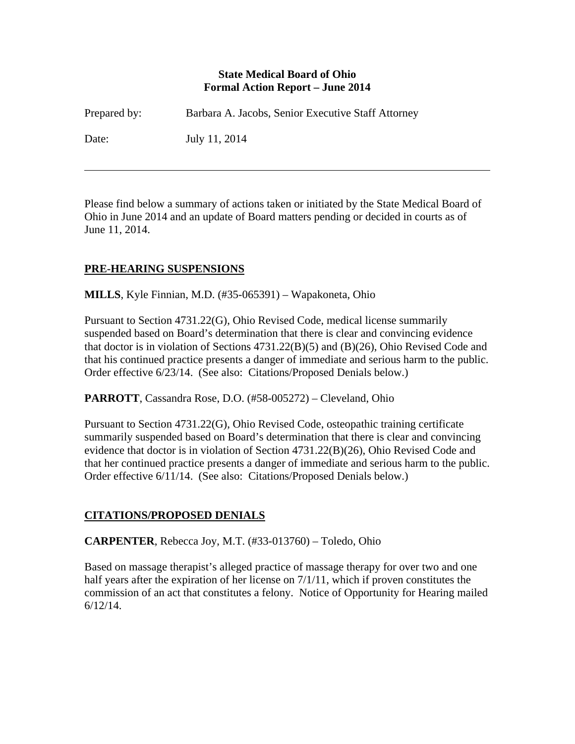#### **State Medical Board of Ohio Formal Action Report – June 2014**

| Prepared by: | Barbara A. Jacobs, Senior Executive Staff Attorney |
|--------------|----------------------------------------------------|
| Date:        | July 11, 2014                                      |

Please find below a summary of actions taken or initiated by the State Medical Board of Ohio in June 2014 and an update of Board matters pending or decided in courts as of June 11, 2014.

# **PRE-HEARING SUSPENSIONS**

 $\overline{a}$ 

**MILLS**, Kyle Finnian, M.D. (#35-065391) – Wapakoneta, Ohio

Pursuant to Section 4731.22(G), Ohio Revised Code, medical license summarily suspended based on Board's determination that there is clear and convincing evidence that doctor is in violation of Sections 4731.22(B)(5) and (B)(26), Ohio Revised Code and that his continued practice presents a danger of immediate and serious harm to the public. Order effective 6/23/14. (See also: Citations/Proposed Denials below.)

**PARROTT**, Cassandra Rose, D.O. (#58-005272) – Cleveland, Ohio

Pursuant to Section 4731.22(G), Ohio Revised Code, osteopathic training certificate summarily suspended based on Board's determination that there is clear and convincing evidence that doctor is in violation of Section 4731.22(B)(26), Ohio Revised Code and that her continued practice presents a danger of immediate and serious harm to the public. Order effective 6/11/14. (See also: Citations/Proposed Denials below.)

## **CITATIONS/PROPOSED DENIALS**

**CARPENTER**, Rebecca Joy, M.T. (#33-013760) – Toledo, Ohio

Based on massage therapist's alleged practice of massage therapy for over two and one half years after the expiration of her license on  $7/1/11$ , which if proven constitutes the commission of an act that constitutes a felony. Notice of Opportunity for Hearing mailed 6/12/14.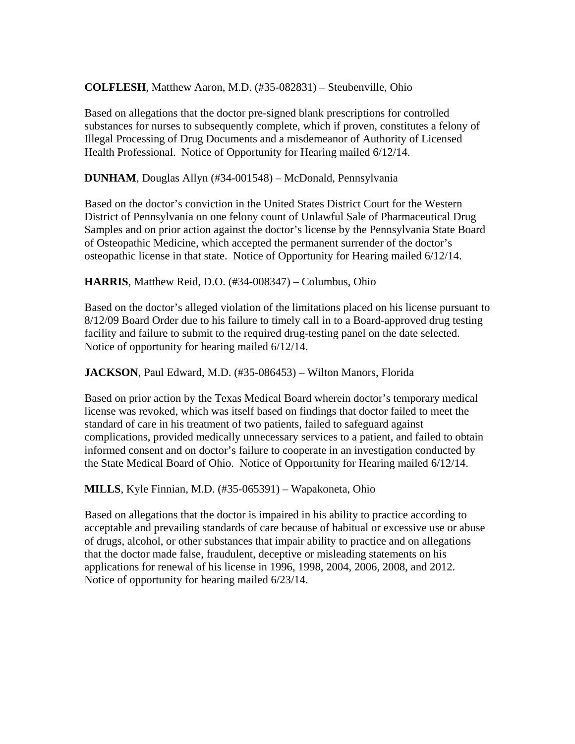#### **COLFLESH**, Matthew Aaron, M.D. (#35-082831) – Steubenville, Ohio

Based on allegations that the doctor pre-signed blank prescriptions for controlled substances for nurses to subsequently complete, which if proven, constitutes a felony of Illegal Processing of Drug Documents and a misdemeanor of Authority of Licensed Health Professional. Notice of Opportunity for Hearing mailed 6/12/14.

**DUNHAM**, Douglas Allyn (#34-001548) – McDonald, Pennsylvania

Based on the doctor's conviction in the United States District Court for the Western District of Pennsylvania on one felony count of Unlawful Sale of Pharmaceutical Drug Samples and on prior action against the doctor's license by the Pennsylvania State Board of Osteopathic Medicine, which accepted the permanent surrender of the doctor's osteopathic license in that state. Notice of Opportunity for Hearing mailed 6/12/14.

**HARRIS**, Matthew Reid, D.O. (#34-008347) – Columbus, Ohio

Based on the doctor's alleged violation of the limitations placed on his license pursuant to 8/12/09 Board Order due to his failure to timely call in to a Board-approved drug testing facility and failure to submit to the required drug-testing panel on the date selected. Notice of opportunity for hearing mailed 6/12/14.

**JACKSON**, Paul Edward, M.D. (#35-086453) – Wilton Manors, Florida

Based on prior action by the Texas Medical Board wherein doctor's temporary medical license was revoked, which was itself based on findings that doctor failed to meet the standard of care in his treatment of two patients, failed to safeguard against complications, provided medically unnecessary services to a patient, and failed to obtain informed consent and on doctor's failure to cooperate in an investigation conducted by the State Medical Board of Ohio. Notice of Opportunity for Hearing mailed 6/12/14.

**MILLS**, Kyle Finnian, M.D. (#35-065391) – Wapakoneta, Ohio

Based on allegations that the doctor is impaired in his ability to practice according to acceptable and prevailing standards of care because of habitual or excessive use or abuse of drugs, alcohol, or other substances that impair ability to practice and on allegations that the doctor made false, fraudulent, deceptive or misleading statements on his applications for renewal of his license in 1996, 1998, 2004, 2006, 2008, and 2012. Notice of opportunity for hearing mailed 6/23/14.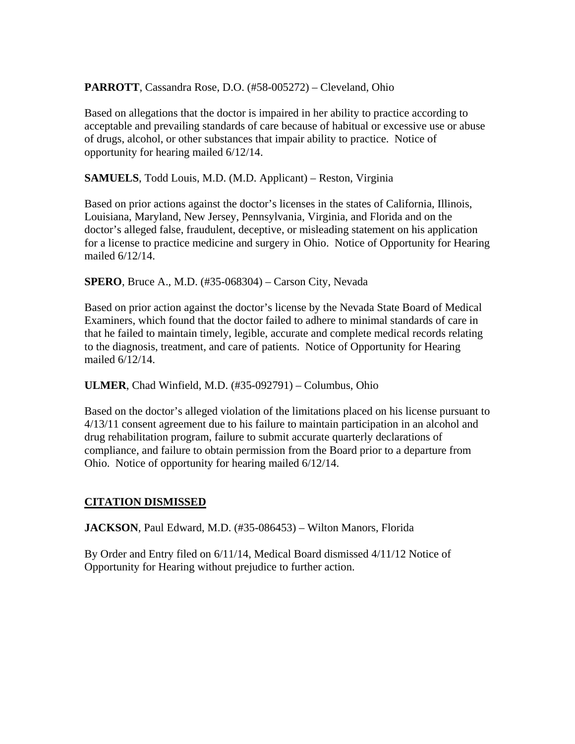## **PARROTT**, Cassandra Rose, D.O. (#58-005272) – Cleveland, Ohio

Based on allegations that the doctor is impaired in her ability to practice according to acceptable and prevailing standards of care because of habitual or excessive use or abuse of drugs, alcohol, or other substances that impair ability to practice. Notice of opportunity for hearing mailed 6/12/14.

**SAMUELS**, Todd Louis, M.D. (M.D. Applicant) – Reston, Virginia

Based on prior actions against the doctor's licenses in the states of California, Illinois, Louisiana, Maryland, New Jersey, Pennsylvania, Virginia, and Florida and on the doctor's alleged false, fraudulent, deceptive, or misleading statement on his application for a license to practice medicine and surgery in Ohio. Notice of Opportunity for Hearing mailed 6/12/14.

**SPERO**, Bruce A., M.D. (#35-068304) – Carson City, Nevada

Based on prior action against the doctor's license by the Nevada State Board of Medical Examiners, which found that the doctor failed to adhere to minimal standards of care in that he failed to maintain timely, legible, accurate and complete medical records relating to the diagnosis, treatment, and care of patients. Notice of Opportunity for Hearing mailed 6/12/14.

**ULMER**, Chad Winfield, M.D. (#35-092791) – Columbus, Ohio

Based on the doctor's alleged violation of the limitations placed on his license pursuant to 4/13/11 consent agreement due to his failure to maintain participation in an alcohol and drug rehabilitation program, failure to submit accurate quarterly declarations of compliance, and failure to obtain permission from the Board prior to a departure from Ohio. Notice of opportunity for hearing mailed 6/12/14.

## **CITATION DISMISSED**

**JACKSON**, Paul Edward, M.D. (#35-086453) – Wilton Manors, Florida

By Order and Entry filed on 6/11/14, Medical Board dismissed 4/11/12 Notice of Opportunity for Hearing without prejudice to further action.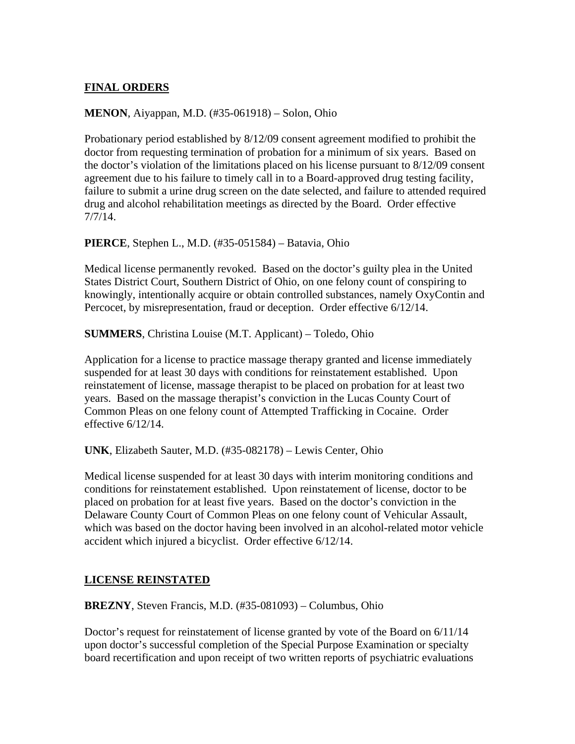# **FINAL ORDERS**

#### **MENON**, Aiyappan, M.D. (#35-061918) – Solon, Ohio

Probationary period established by 8/12/09 consent agreement modified to prohibit the doctor from requesting termination of probation for a minimum of six years. Based on the doctor's violation of the limitations placed on his license pursuant to 8/12/09 consent agreement due to his failure to timely call in to a Board-approved drug testing facility, failure to submit a urine drug screen on the date selected, and failure to attended required drug and alcohol rehabilitation meetings as directed by the Board. Order effective 7/7/14.

**PIERCE**, Stephen L., M.D. (#35-051584) – Batavia, Ohio

Medical license permanently revoked. Based on the doctor's guilty plea in the United States District Court, Southern District of Ohio, on one felony count of conspiring to knowingly, intentionally acquire or obtain controlled substances, namely OxyContin and Percocet, by misrepresentation, fraud or deception. Order effective 6/12/14.

**SUMMERS**, Christina Louise (M.T. Applicant) – Toledo, Ohio

Application for a license to practice massage therapy granted and license immediately suspended for at least 30 days with conditions for reinstatement established. Upon reinstatement of license, massage therapist to be placed on probation for at least two years. Based on the massage therapist's conviction in the Lucas County Court of Common Pleas on one felony count of Attempted Trafficking in Cocaine. Order effective 6/12/14.

**UNK**, Elizabeth Sauter, M.D. (#35-082178) – Lewis Center, Ohio

Medical license suspended for at least 30 days with interim monitoring conditions and conditions for reinstatement established. Upon reinstatement of license, doctor to be placed on probation for at least five years. Based on the doctor's conviction in the Delaware County Court of Common Pleas on one felony count of Vehicular Assault, which was based on the doctor having been involved in an alcohol-related motor vehicle accident which injured a bicyclist. Order effective 6/12/14.

## **LICENSE REINSTATED**

**BREZNY**, Steven Francis, M.D. (#35-081093) – Columbus, Ohio

Doctor's request for reinstatement of license granted by vote of the Board on 6/11/14 upon doctor's successful completion of the Special Purpose Examination or specialty board recertification and upon receipt of two written reports of psychiatric evaluations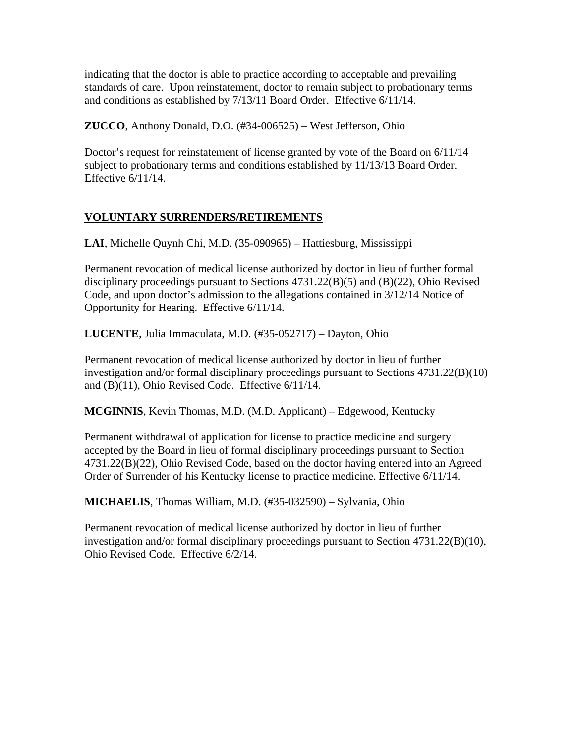indicating that the doctor is able to practice according to acceptable and prevailing standards of care. Upon reinstatement, doctor to remain subject to probationary terms and conditions as established by 7/13/11 Board Order. Effective 6/11/14.

**ZUCCO**, Anthony Donald, D.O. (#34-006525) – West Jefferson, Ohio

Doctor's request for reinstatement of license granted by vote of the Board on 6/11/14 subject to probationary terms and conditions established by 11/13/13 Board Order. Effective 6/11/14.

# **VOLUNTARY SURRENDERS/RETIREMENTS**

**LAI**, Michelle Quynh Chi, M.D. (35-090965) – Hattiesburg, Mississippi

Permanent revocation of medical license authorized by doctor in lieu of further formal disciplinary proceedings pursuant to Sections 4731.22(B)(5) and (B)(22), Ohio Revised Code, and upon doctor's admission to the allegations contained in 3/12/14 Notice of Opportunity for Hearing. Effective 6/11/14.

**LUCENTE**, Julia Immaculata, M.D. (#35-052717) – Dayton, Ohio

Permanent revocation of medical license authorized by doctor in lieu of further investigation and/or formal disciplinary proceedings pursuant to Sections 4731.22(B)(10) and (B)(11), Ohio Revised Code. Effective 6/11/14.

**MCGINNIS**, Kevin Thomas, M.D. (M.D. Applicant) – Edgewood, Kentucky

Permanent withdrawal of application for license to practice medicine and surgery accepted by the Board in lieu of formal disciplinary proceedings pursuant to Section 4731.22(B)(22), Ohio Revised Code, based on the doctor having entered into an Agreed Order of Surrender of his Kentucky license to practice medicine. Effective 6/11/14.

**MICHAELIS**, Thomas William, M.D. (#35-032590) – Sylvania, Ohio

Permanent revocation of medical license authorized by doctor in lieu of further investigation and/or formal disciplinary proceedings pursuant to Section 4731.22(B)(10), Ohio Revised Code. Effective 6/2/14.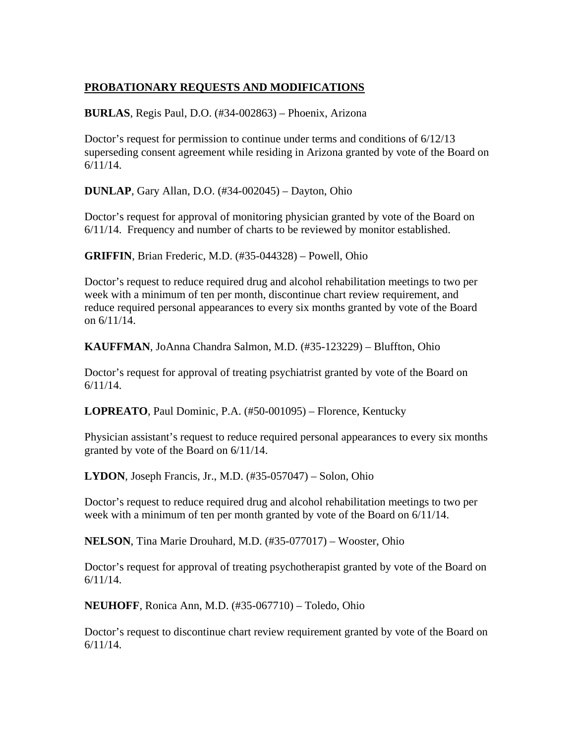# **PROBATIONARY REQUESTS AND MODIFICATIONS**

**BURLAS**, Regis Paul, D.O. (#34-002863) – Phoenix, Arizona

Doctor's request for permission to continue under terms and conditions of 6/12/13 superseding consent agreement while residing in Arizona granted by vote of the Board on 6/11/14.

**DUNLAP**, Gary Allan, D.O. (#34-002045) – Dayton, Ohio

Doctor's request for approval of monitoring physician granted by vote of the Board on 6/11/14. Frequency and number of charts to be reviewed by monitor established.

**GRIFFIN**, Brian Frederic, M.D. (#35-044328) – Powell, Ohio

Doctor's request to reduce required drug and alcohol rehabilitation meetings to two per week with a minimum of ten per month, discontinue chart review requirement, and reduce required personal appearances to every six months granted by vote of the Board on 6/11/14.

**KAUFFMAN**, JoAnna Chandra Salmon, M.D. (#35-123229) – Bluffton, Ohio

Doctor's request for approval of treating psychiatrist granted by vote of the Board on 6/11/14.

**LOPREATO**, Paul Dominic, P.A. (#50-001095) – Florence, Kentucky

Physician assistant's request to reduce required personal appearances to every six months granted by vote of the Board on 6/11/14.

**LYDON**, Joseph Francis, Jr., M.D. (#35-057047) – Solon, Ohio

Doctor's request to reduce required drug and alcohol rehabilitation meetings to two per week with a minimum of ten per month granted by vote of the Board on 6/11/14.

**NELSON**, Tina Marie Drouhard, M.D. (#35-077017) – Wooster, Ohio

Doctor's request for approval of treating psychotherapist granted by vote of the Board on 6/11/14.

**NEUHOFF**, Ronica Ann, M.D. (#35-067710) – Toledo, Ohio

Doctor's request to discontinue chart review requirement granted by vote of the Board on 6/11/14.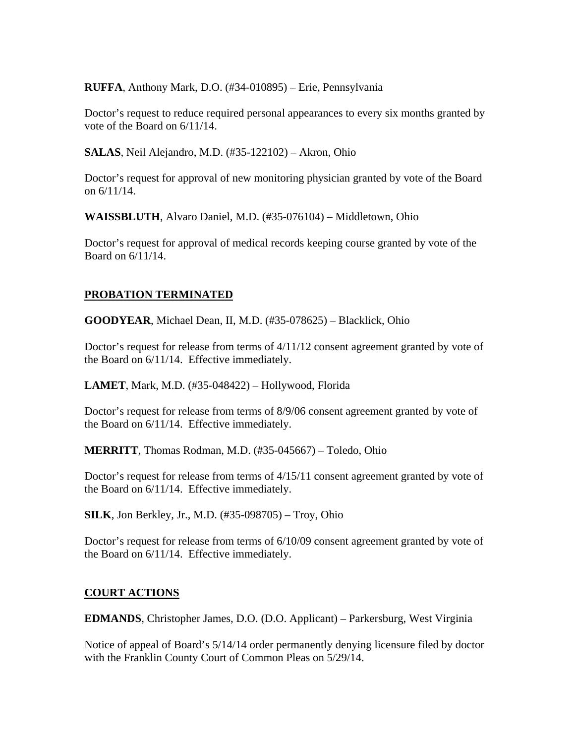**RUFFA**, Anthony Mark, D.O. (#34-010895) – Erie, Pennsylvania

Doctor's request to reduce required personal appearances to every six months granted by vote of the Board on 6/11/14.

**SALAS**, Neil Alejandro, M.D. (#35-122102) – Akron, Ohio

Doctor's request for approval of new monitoring physician granted by vote of the Board on 6/11/14.

**WAISSBLUTH**, Alvaro Daniel, M.D. (#35-076104) – Middletown, Ohio

Doctor's request for approval of medical records keeping course granted by vote of the Board on 6/11/14.

## **PROBATION TERMINATED**

**GOODYEAR**, Michael Dean, II, M.D. (#35-078625) – Blacklick, Ohio

Doctor's request for release from terms of 4/11/12 consent agreement granted by vote of the Board on 6/11/14. Effective immediately.

**LAMET**, Mark, M.D. (#35-048422) – Hollywood, Florida

Doctor's request for release from terms of 8/9/06 consent agreement granted by vote of the Board on 6/11/14. Effective immediately.

**MERRITT**, Thomas Rodman, M.D. (#35-045667) – Toledo, Ohio

Doctor's request for release from terms of 4/15/11 consent agreement granted by vote of the Board on 6/11/14. Effective immediately.

**SILK**, Jon Berkley, Jr., M.D. (#35-098705) – Troy, Ohio

Doctor's request for release from terms of 6/10/09 consent agreement granted by vote of the Board on 6/11/14. Effective immediately.

## **COURT ACTIONS**

**EDMANDS**, Christopher James, D.O. (D.O. Applicant) – Parkersburg, West Virginia

Notice of appeal of Board's 5/14/14 order permanently denying licensure filed by doctor with the Franklin County Court of Common Pleas on 5/29/14.